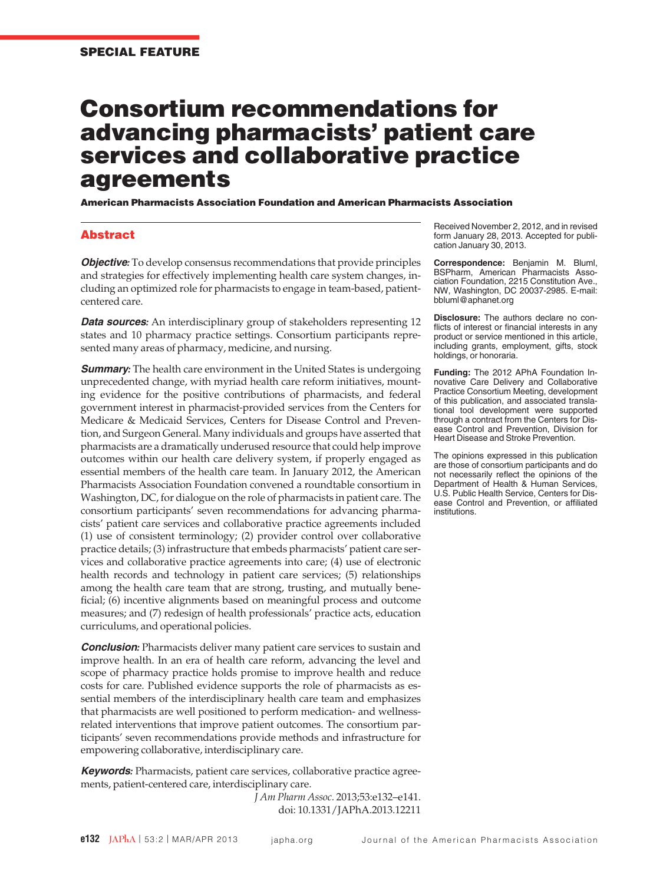# Consortium recommendations for advancing pharmacists' patient care services and collaborative practice agreements

American Pharmacists Association Foundation and American Pharmacists Association

# Abstract

*Objective:* To develop consensus recommendations that provide principles and strategies for effectively implementing health care system changes, including an optimized role for pharmacists to engage in team-based, patientcentered care.

*Data sources:* An interdisciplinary group of stakeholders representing 12 states and 10 pharmacy practice settings. Consortium participants represented many areas of pharmacy, medicine, and nursing.

**Summary:** The health care environment in the United States is undergoing unprecedented change, with myriad health care reform initiatives, mounting evidence for the positive contributions of pharmacists, and federal government interest in pharmacist-provided services from the Centers for Medicare & Medicaid Services, Centers for Disease Control and Prevention, and Surgeon General. Many individuals and groups have asserted that pharmacists are a dramatically underused resource that could help improve outcomes within our health care delivery system, if properly engaged as essential members of the health care team. In January 2012, the American Pharmacists Association Foundation convened a roundtable consortium in Washington, DC, for dialogue on the role of pharmacists in patient care. The consortium participants' seven recommendations for advancing pharmacists' patient care services and collaborative practice agreements included (1) use of consistent terminology; (2) provider control over collaborative practice details; (3) infrastructure that embeds pharmacists' patient care services and collaborative practice agreements into care; (4) use of electronic health records and technology in patient care services; (5) relationships among the health care team that are strong, trusting, and mutually beneficial; (6) incentive alignments based on meaningful process and outcome measures; and (7) redesign of health professionals' practice acts, education curriculums, and operational policies.

**Conclusion:** Pharmacists deliver many patient care services to sustain and improve health. In an era of health care reform, advancing the level and scope of pharmacy practice holds promise to improve health and reduce costs for care. Published evidence supports the role of pharmacists as essential members of the interdisciplinary health care team and emphasizes that pharmacists are well positioned to perform medication- and wellnessrelated interventions that improve patient outcomes. The consortium participants' seven recommendations provide methods and infrastructure for empowering collaborative, interdisciplinary care.

*Keywords:* Pharmacists, patient care services, collaborative practice agreements, patient-centered care, interdisciplinary care.

> *J Am Pharm Assoc.* 2013;53:e132–e141. doi: 10.1331/JAPhA.2013.12211

Received November 2, 2012, and in revised form January 28, 2013. Accepted for publication January 30, 2013.

**Correspondence:** Benjamin M. Bluml, BSPharm, American Pharmacists Association Foundation, 2215 Constitution Ave., NW, Washington, DC 20037-2985. E-mail: bbluml@aphanet.org

**Disclosure:** The authors declare no conflicts of interest or financial interests in any product or service mentioned in this article, including grants, employment, gifts, stock holdings, or honoraria.

**Funding:** The 2012 APhA Foundation Innovative Care Delivery and Collaborative Practice Consortium Meeting, development of this publication, and associated translational tool development were supported through a contract from the Centers for Disease Control and Prevention, Division for Heart Disease and Stroke Prevention.

The opinions expressed in this publication are those of consortium participants and do not necessarily reflect the opinions of the Department of Health & Human Services, U.S. Public Health Service, Centers for Disease Control and Prevention, or affiliated institutions.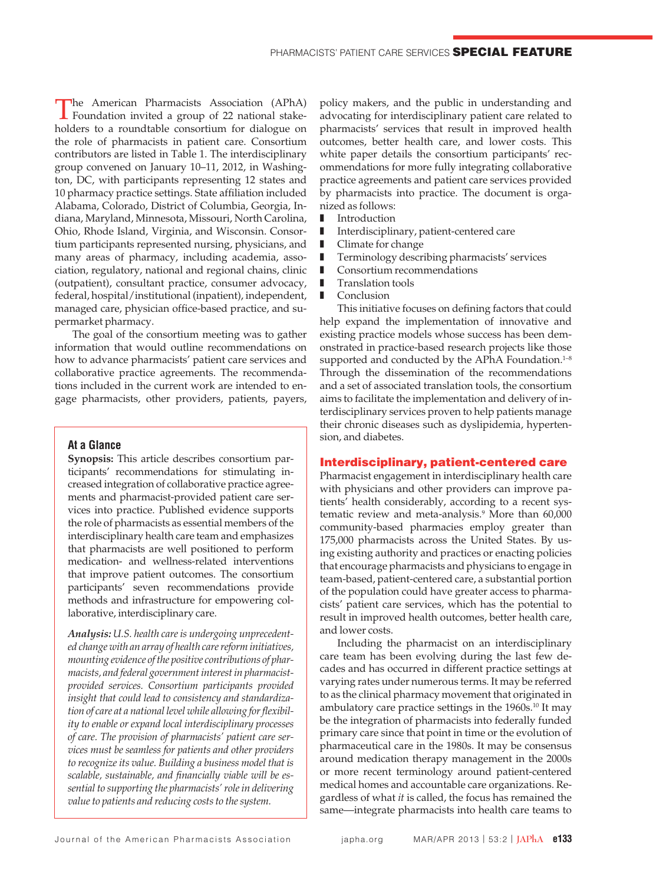The American Pharmacists Association (APhA) Foundation invited a group of 22 national stakeholders to a roundtable consortium for dialogue on the role of pharmacists in patient care. Consortium contributors are listed in Table 1. The interdisciplinary group convened on January 10–11, 2012, in Washington, DC, with participants representing 12 states and 10 pharmacy practice settings. State affiliation included Alabama, Colorado, District of Columbia, Georgia, Indiana, Maryland, Minnesota, Missouri, North Carolina, Ohio, Rhode Island, Virginia, and Wisconsin. Consortium participants represented nursing, physicians, and many areas of pharmacy, including academia, association, regulatory, national and regional chains, clinic (outpatient), consultant practice, consumer advocacy, federal, hospital/institutional (inpatient), independent, managed care, physician office-based practice, and supermarket pharmacy.

The goal of the consortium meeting was to gather information that would outline recommendations on how to advance pharmacists' patient care services and collaborative practice agreements. The recommendations included in the current work are intended to engage pharmacists, other providers, patients, payers,

#### **At a Glance**

**Synopsis:** This article describes consortium participants' recommendations for stimulating increased integration of collaborative practice agreements and pharmacist-provided patient care services into practice. Published evidence supports the role of pharmacists as essential members of the interdisciplinary health care team and emphasizes that pharmacists are well positioned to perform medication- and wellness-related interventions that improve patient outcomes. The consortium participants' seven recommendations provide methods and infrastructure for empowering collaborative, interdisciplinary care.

*Analysis: U.S. health care is undergoing unprecedented change with an array of health care reform initiatives, mounting evidence of the positive contributions of pharmacists, and federal government interest in pharmacistprovided services. Consortium participants provided insight that could lead to consistency and standardization of care at a national level while allowing for flexibility to enable or expand local interdisciplinary processes of care. The provision of pharmacists' patient care services must be seamless for patients and other providers to recognize its value. Building a business model that is scalable, sustainable, and financially viable will be essential to supporting the pharmacists' role in delivering value to patients and reducing costs to the system.*

policy makers, and the public in understanding and advocating for interdisciplinary patient care related to pharmacists' services that result in improved health outcomes, better health care, and lower costs. This white paper details the consortium participants' recommendations for more fully integrating collaborative practice agreements and patient care services provided by pharmacists into practice. The document is organized as follows:

- **Introduction**
- Interdisciplinary, patient-centered care
- Climate for change
- Terminology describing pharmacists' services
- Consortium recommendations
- ❚ Translation tools
- Conclusion

This initiative focuses on defining factors that could help expand the implementation of innovative and existing practice models whose success has been demonstrated in practice-based research projects like those supported and conducted by the APhA Foundation.<sup>1-8</sup> Through the dissemination of the recommendations and a set of associated translation tools, the consortium aims to facilitate the implementation and delivery of interdisciplinary services proven to help patients manage their chronic diseases such as dyslipidemia, hypertension, and diabetes.

## Interdisciplinary, patient-centered care

Pharmacist engagement in interdisciplinary health care with physicians and other providers can improve patients' health considerably, according to a recent systematic review and meta-analysis.<sup>9</sup> More than 60,000 community-based pharmacies employ greater than 175,000 pharmacists across the United States. By using existing authority and practices or enacting policies that encourage pharmacists and physicians to engage in team-based, patient-centered care, a substantial portion of the population could have greater access to pharmacists' patient care services, which has the potential to result in improved health outcomes, better health care, and lower costs.

Including the pharmacist on an interdisciplinary care team has been evolving during the last few decades and has occurred in different practice settings at varying rates under numerous terms. It may be referred to as the clinical pharmacy movement that originated in ambulatory care practice settings in the  $1960s$ .<sup>10</sup> It may be the integration of pharmacists into federally funded primary care since that point in time or the evolution of pharmaceutical care in the 1980s. It may be consensus around medication therapy management in the 2000s or more recent terminology around patient-centered medical homes and accountable care organizations. Regardless of what *it* is called, the focus has remained the same—integrate pharmacists into health care teams to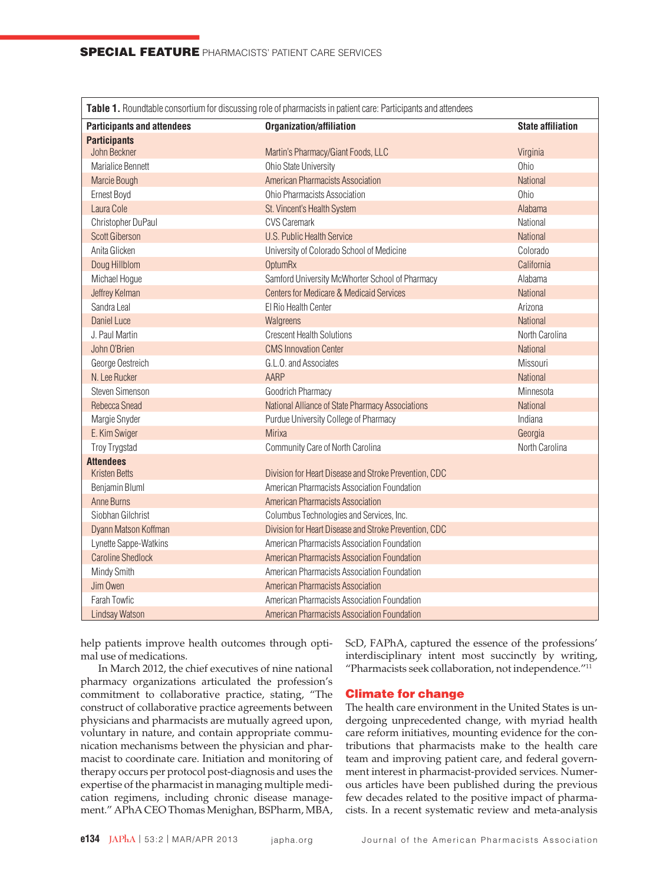| <b>Participants and attendees</b> | Organization/affiliation                              | <b>State affiliation</b> |
|-----------------------------------|-------------------------------------------------------|--------------------------|
| <b>Participants</b>               |                                                       |                          |
| John Beckner                      | Martin's Pharmacy/Giant Foods, LLC                    | Virginia                 |
| <b>Marialice Bennett</b>          | Ohio State University                                 | Ohio                     |
| Marcie Bough                      | American Pharmacists Association                      | National                 |
| Ernest Boyd                       | Ohio Pharmacists Association                          | Ohio                     |
| Laura Cole                        | St. Vincent's Health System                           | Alabama                  |
| Christopher DuPaul                | <b>CVS Caremark</b>                                   | National                 |
| <b>Scott Giberson</b>             | <b>U.S. Public Health Service</b>                     | <b>National</b>          |
| Anita Glicken                     | University of Colorado School of Medicine             | Colorado                 |
| Doug Hillblom                     | <b>OptumRx</b>                                        | California               |
| Michael Hogue                     | Samford University McWhorter School of Pharmacy       | Alabama                  |
| Jeffrey Kelman                    | <b>Centers for Medicare &amp; Medicaid Services</b>   | National                 |
| Sandra Leal                       | El Rio Health Center                                  | Arizona                  |
| <b>Daniel Luce</b>                | Walgreens                                             | National                 |
| J. Paul Martin                    | <b>Crescent Health Solutions</b>                      | North Carolina           |
| John O'Brien                      | <b>CMS Innovation Center</b>                          | <b>National</b>          |
| George Oestreich                  | G.L.O. and Associates                                 | Missouri                 |
| N. Lee Rucker                     | AARP                                                  | National                 |
| Steven Simenson                   | Goodrich Pharmacy                                     | Minnesota                |
| Rebecca Snead                     | National Alliance of State Pharmacy Associations      | National                 |
| Margie Snyder                     | Purdue University College of Pharmacy                 | Indiana                  |
| E. Kim Swiger                     | <b>Mirixa</b>                                         | Georgia                  |
| <b>Troy Trygstad</b>              | Community Care of North Carolina                      | North Carolina           |
| <b>Attendees</b>                  |                                                       |                          |
| <b>Kristen Betts</b>              | Division for Heart Disease and Stroke Prevention, CDC |                          |
| Benjamin Bluml                    | American Pharmacists Association Foundation           |                          |
| Anne Burns                        | American Pharmacists Association                      |                          |
| Siobhan Gilchrist                 | Columbus Technologies and Services, Inc.              |                          |
| Dyann Matson Koffman              | Division for Heart Disease and Stroke Prevention, CDC |                          |
| Lynette Sappe-Watkins             | American Pharmacists Association Foundation           |                          |
| <b>Caroline Shedlock</b>          | American Pharmacists Association Foundation           |                          |
| Mindy Smith                       | American Pharmacists Association Foundation           |                          |
| Jim Owen                          | American Pharmacists Association                      |                          |
| Farah Towfic                      | American Pharmacists Association Foundation           |                          |
| <b>Lindsay Watson</b>             | American Pharmacists Association Foundation           |                          |

help patients improve health outcomes through optimal use of medications.

In March 2012, the chief executives of nine national pharmacy organizations articulated the profession's commitment to collaborative practice, stating, "The construct of collaborative practice agreements between physicians and pharmacists are mutually agreed upon, voluntary in nature, and contain appropriate communication mechanisms between the physician and pharmacist to coordinate care. Initiation and monitoring of therapy occurs per protocol post-diagnosis and uses the expertise of the pharmacist in managing multiple medication regimens, including chronic disease management." APhA CEO Thomas Menighan, BSPharm, MBA, ScD, FAPhA, captured the essence of the professions' interdisciplinary intent most succinctly by writing, "Pharmacists seek collaboration, not independence."11

# Climate for change

The health care environment in the United States is undergoing unprecedented change, with myriad health care reform initiatives, mounting evidence for the contributions that pharmacists make to the health care team and improving patient care, and federal government interest in pharmacist-provided services*.* Numerous articles have been published during the previous few decades related to the positive impact of pharmacists. In a recent systematic review and meta-analysis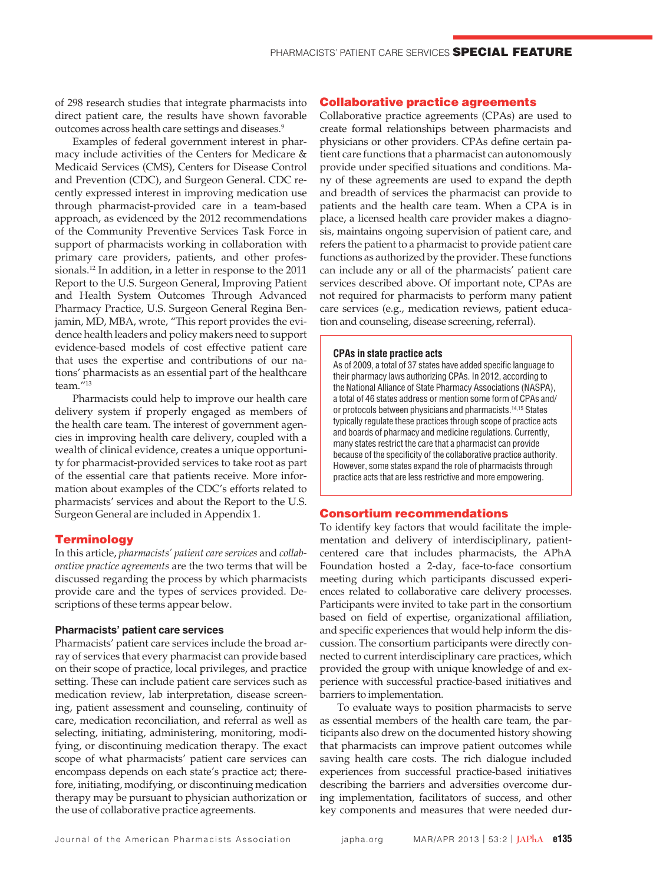of 298 research studies that integrate pharmacists into direct patient care, the results have shown favorable outcomes across health care settings and diseases.<sup>9</sup>

Examples of federal government interest in pharmacy include activities of the Centers for Medicare & Medicaid Services (CMS), Centers for Disease Control and Prevention (CDC), and Surgeon General. CDC recently expressed interest in improving medication use through pharmacist-provided care in a team-based approach, as evidenced by the 2012 recommendations of the Community Preventive Services Task Force in support of pharmacists working in collaboration with primary care providers, patients, and other professionals.12 In addition, in a letter in response to the 2011 Report to the U.S. Surgeon General, Improving Patient and Health System Outcomes Through Advanced Pharmacy Practice, U.S. Surgeon General Regina Benjamin, MD, MBA, wrote, "This report provides the evidence health leaders and policy makers need to support evidence-based models of cost effective patient care that uses the expertise and contributions of our nations' pharmacists as an essential part of the healthcare team."13

Pharmacists could help to improve our health care delivery system if properly engaged as members of the health care team. The interest of government agencies in improving health care delivery, coupled with a wealth of clinical evidence, creates a unique opportunity for pharmacist-provided services to take root as part of the essential care that patients receive. More information about examples of the CDC's efforts related to pharmacists' services and about the Report to the U.S. Surgeon General are included in Appendix 1.

# **Terminology**

In this article, *pharmacists' patient care services* and *collaborative practice agreements* are the two terms that will be discussed regarding the process by which pharmacists provide care and the types of services provided. Descriptions of these terms appear below.

#### **Pharmacists' patient care services**

Pharmacists' patient care services include the broad array of services that every pharmacist can provide based on their scope of practice, local privileges, and practice setting. These can include patient care services such as medication review, lab interpretation, disease screening, patient assessment and counseling, continuity of care, medication reconciliation, and referral as well as selecting, initiating, administering, monitoring, modifying, or discontinuing medication therapy. The exact scope of what pharmacists' patient care services can encompass depends on each state's practice act; therefore, initiating, modifying, or discontinuing medication therapy may be pursuant to physician authorization or the use of collaborative practice agreements.

#### Collaborative practice agreements

Collaborative practice agreements (CPAs) are used to create formal relationships between pharmacists and physicians or other providers. CPAs define certain patient care functions that a pharmacist can autonomously provide under specified situations and conditions. Many of these agreements are used to expand the depth and breadth of services the pharmacist can provide to patients and the health care team. When a CPA is in place, a licensed health care provider makes a diagnosis, maintains ongoing supervision of patient care, and refers the patient to a pharmacist to provide patient care functions as authorized by the provider. These functions can include any or all of the pharmacists' patient care services described above. Of important note, CPAs are not required for pharmacists to perform many patient care services (e.g., medication reviews, patient education and counseling, disease screening, referral).

#### **CPAs in state practice acts**

As of 2009, a total of 37 states have added specific language to their pharmacy laws authorizing CPAs. In 2012, according to the National Alliance of State Pharmacy Associations (NASPA), a total of 46 states address or mention some form of CPAs and/ or protocols between physicians and pharmacists.14,15 States typically regulate these practices through scope of practice acts and boards of pharmacy and medicine regulations. Currently, many states restrict the care that a pharmacist can provide because of the specificity of the collaborative practice authority. However, some states expand the role of pharmacists through practice acts that are less restrictive and more empowering.

#### Consortium recommendations

To identify key factors that would facilitate the implementation and delivery of interdisciplinary, patientcentered care that includes pharmacists, the APhA Foundation hosted a 2-day, face-to-face consortium meeting during which participants discussed experiences related to collaborative care delivery processes. Participants were invited to take part in the consortium based on field of expertise, organizational affiliation, and specific experiences that would help inform the discussion. The consortium participants were directly connected to current interdisciplinary care practices, which provided the group with unique knowledge of and experience with successful practice-based initiatives and barriers to implementation.

To evaluate ways to position pharmacists to serve as essential members of the health care team, the participants also drew on the documented history showing that pharmacists can improve patient outcomes while saving health care costs. The rich dialogue included experiences from successful practice-based initiatives describing the barriers and adversities overcome during implementation, facilitators of success, and other key components and measures that were needed dur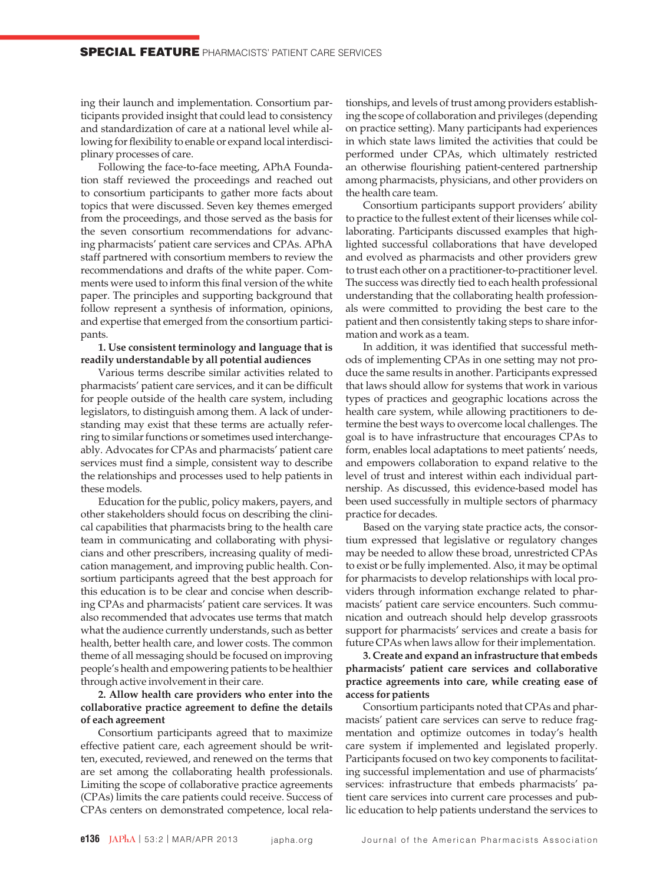ing their launch and implementation. Consortium participants provided insight that could lead to consistency and standardization of care at a national level while allowing for flexibility to enable or expand local interdisciplinary processes of care.

Following the face-to-face meeting, APhA Foundation staff reviewed the proceedings and reached out to consortium participants to gather more facts about topics that were discussed. Seven key themes emerged from the proceedings, and those served as the basis for the seven consortium recommendations for advancing pharmacists' patient care services and CPAs. APhA staff partnered with consortium members to review the recommendations and drafts of the white paper. Comments were used to inform this final version of the white paper. The principles and supporting background that follow represent a synthesis of information, opinions, and expertise that emerged from the consortium participants.

#### **1. Use consistent terminology and language that is readily understandable by all potential audiences**

Various terms describe similar activities related to pharmacists' patient care services, and it can be difficult for people outside of the health care system, including legislators, to distinguish among them. A lack of understanding may exist that these terms are actually referring to similar functions or sometimes used interchangeably. Advocates for CPAs and pharmacists' patient care services must find a simple, consistent way to describe the relationships and processes used to help patients in these models.

Education for the public, policy makers, payers, and other stakeholders should focus on describing the clinical capabilities that pharmacists bring to the health care team in communicating and collaborating with physicians and other prescribers, increasing quality of medication management, and improving public health. Consortium participants agreed that the best approach for this education is to be clear and concise when describing CPAs and pharmacists' patient care services. It was also recommended that advocates use terms that match what the audience currently understands, such as better health, better health care, and lower costs. The common theme of all messaging should be focused on improving people's health and empowering patients to be healthier through active involvement in their care.

#### **2. Allow health care providers who enter into the collaborative practice agreement to define the details of each agreement**

Consortium participants agreed that to maximize effective patient care, each agreement should be written, executed, reviewed, and renewed on the terms that are set among the collaborating health professionals. Limiting the scope of collaborative practice agreements (CPAs) limits the care patients could receive. Success of CPAs centers on demonstrated competence, local relationships, and levels of trust among providers establishing the scope of collaboration and privileges (depending on practice setting). Many participants had experiences in which state laws limited the activities that could be performed under CPAs, which ultimately restricted an otherwise flourishing patient-centered partnership among pharmacists, physicians, and other providers on the health care team.

Consortium participants support providers' ability to practice to the fullest extent of their licenses while collaborating. Participants discussed examples that highlighted successful collaborations that have developed and evolved as pharmacists and other providers grew to trust each other on a practitioner-to-practitioner level. The success was directly tied to each health professional understanding that the collaborating health professionals were committed to providing the best care to the patient and then consistently taking steps to share information and work as a team.

In addition, it was identified that successful methods of implementing CPAs in one setting may not produce the same results in another. Participants expressed that laws should allow for systems that work in various types of practices and geographic locations across the health care system, while allowing practitioners to determine the best ways to overcome local challenges. The goal is to have infrastructure that encourages CPAs to form, enables local adaptations to meet patients' needs, and empowers collaboration to expand relative to the level of trust and interest within each individual partnership. As discussed, this evidence-based model has been used successfully in multiple sectors of pharmacy practice for decades.

Based on the varying state practice acts, the consortium expressed that legislative or regulatory changes may be needed to allow these broad, unrestricted CPAs to exist or be fully implemented. Also, it may be optimal for pharmacists to develop relationships with local providers through information exchange related to pharmacists' patient care service encounters. Such communication and outreach should help develop grassroots support for pharmacists' services and create a basis for future CPAs when laws allow for their implementation.

**3. Create and expand an infrastructure that embeds pharmacists' patient care services and collaborative practice agreements into care, while creating ease of access for patients**

Consortium participants noted that CPAs and pharmacists' patient care services can serve to reduce fragmentation and optimize outcomes in today's health care system if implemented and legislated properly. Participants focused on two key components to facilitating successful implementation and use of pharmacists' services: infrastructure that embeds pharmacists' patient care services into current care processes and public education to help patients understand the services to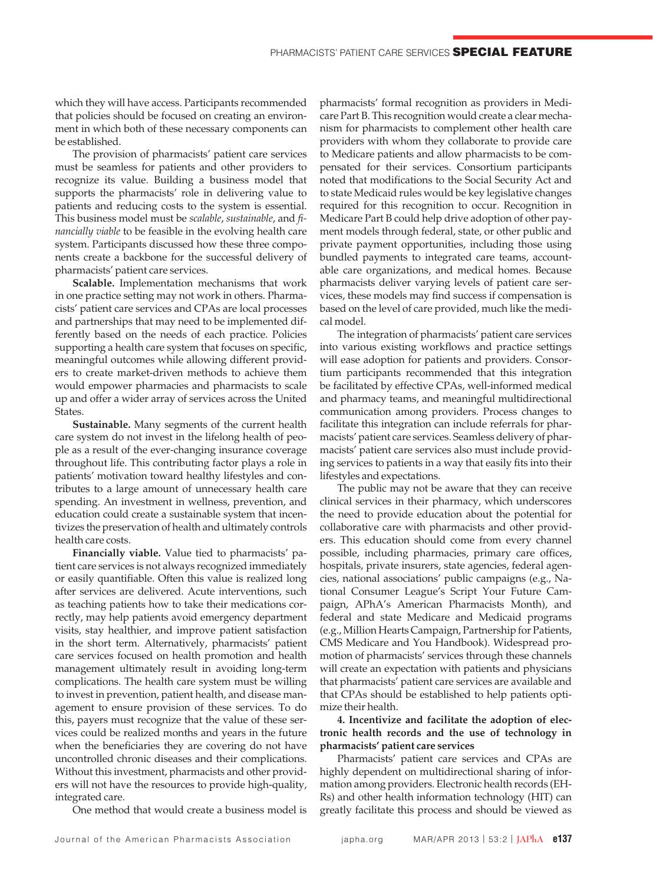which they will have access. Participants recommended that policies should be focused on creating an environment in which both of these necessary components can be established.

The provision of pharmacists' patient care services must be seamless for patients and other providers to recognize its value. Building a business model that supports the pharmacists' role in delivering value to patients and reducing costs to the system is essential. This business model must be *scalable*, *sustainable*, and *financially viable* to be feasible in the evolving health care system. Participants discussed how these three components create a backbone for the successful delivery of pharmacists' patient care services.

**Scalable.** Implementation mechanisms that work in one practice setting may not work in others. Pharmacists' patient care services and CPAs are local processes and partnerships that may need to be implemented differently based on the needs of each practice. Policies supporting a health care system that focuses on specific, meaningful outcomes while allowing different providers to create market-driven methods to achieve them would empower pharmacies and pharmacists to scale up and offer a wider array of services across the United **States** 

**Sustainable.** Many segments of the current health care system do not invest in the lifelong health of people as a result of the ever-changing insurance coverage throughout life. This contributing factor plays a role in patients' motivation toward healthy lifestyles and contributes to a large amount of unnecessary health care spending. An investment in wellness, prevention, and education could create a sustainable system that incentivizes the preservation of health and ultimately controls health care costs.

**Financially viable.** Value tied to pharmacists' patient care services is not always recognized immediately or easily quantifiable. Often this value is realized long after services are delivered. Acute interventions, such as teaching patients how to take their medications correctly, may help patients avoid emergency department visits, stay healthier, and improve patient satisfaction in the short term. Alternatively, pharmacists' patient care services focused on health promotion and health management ultimately result in avoiding long-term complications. The health care system must be willing to invest in prevention, patient health, and disease management to ensure provision of these services. To do this, payers must recognize that the value of these services could be realized months and years in the future when the beneficiaries they are covering do not have uncontrolled chronic diseases and their complications. Without this investment, pharmacists and other providers will not have the resources to provide high-quality, integrated care.

One method that would create a business model is

pharmacists' formal recognition as providers in Medicare Part B. This recognition would create a clear mechanism for pharmacists to complement other health care providers with whom they collaborate to provide care to Medicare patients and allow pharmacists to be compensated for their services. Consortium participants noted that modifications to the Social Security Act and to state Medicaid rules would be key legislative changes required for this recognition to occur. Recognition in Medicare Part B could help drive adoption of other payment models through federal, state, or other public and private payment opportunities, including those using bundled payments to integrated care teams, accountable care organizations, and medical homes. Because pharmacists deliver varying levels of patient care services, these models may find success if compensation is based on the level of care provided, much like the medical model.

The integration of pharmacists' patient care services into various existing workflows and practice settings will ease adoption for patients and providers. Consortium participants recommended that this integration be facilitated by effective CPAs, well-informed medical and pharmacy teams, and meaningful multidirectional communication among providers. Process changes to facilitate this integration can include referrals for pharmacists' patient care services. Seamless delivery of pharmacists' patient care services also must include providing services to patients in a way that easily fits into their lifestyles and expectations.

The public may not be aware that they can receive clinical services in their pharmacy, which underscores the need to provide education about the potential for collaborative care with pharmacists and other providers. This education should come from every channel possible, including pharmacies, primary care offices, hospitals, private insurers, state agencies, federal agencies, national associations' public campaigns (e.g., National Consumer League's Script Your Future Campaign, APhA's American Pharmacists Month), and federal and state Medicare and Medicaid programs (e.g., Million Hearts Campaign, Partnership for Patients, CMS Medicare and You Handbook). Widespread promotion of pharmacists' services through these channels will create an expectation with patients and physicians that pharmacists' patient care services are available and that CPAs should be established to help patients optimize their health.

#### **4. Incentivize and facilitate the adoption of electronic health records and the use of technology in pharmacists' patient care services**

Pharmacists' patient care services and CPAs are highly dependent on multidirectional sharing of information among providers. Electronic health records (EH-Rs) and other health information technology (HIT) can greatly facilitate this process and should be viewed as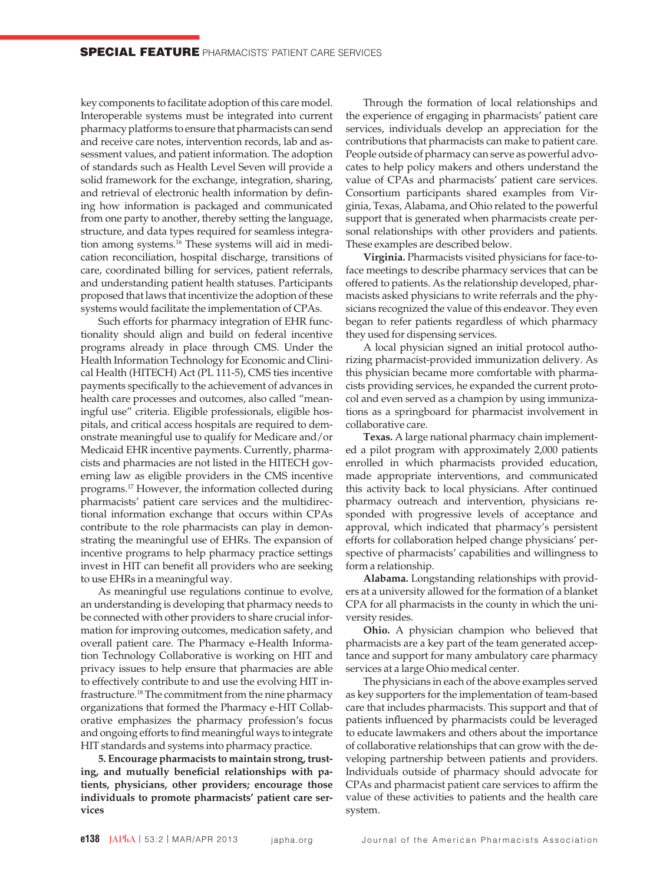key components to facilitate adoption of this care model. Interoperable systems must be integrated into current pharmacy platforms to ensure that pharmacists can send and receive care notes, intervention records, lab and assessment values, and patient information. The adoption of standards such as Health Level Seven will provide a solid framework for the exchange, integration, sharing, and retrieval of electronic health information by defining how information is packaged and communicated from one party to another, thereby setting the language, structure, and data types required for seamless integration among systems.<sup>16</sup> These systems will aid in medication reconciliation, hospital discharge, transitions of care, coordinated billing for services, patient referrals, and understanding patient health statuses. Participants proposed that laws that incentivize the adoption of these systems would facilitate the implementation of CPAs.

Such efforts for pharmacy integration of EHR functionality should align and build on federal incentive programs already in place through CMS. Under the Health Information Technology for Economic and Clinical Health (HITECH) Act (PL 111-5), CMS ties incentive payments specifically to the achievement of advances in health care processes and outcomes, also called "meaningful use" criteria. Eligible professionals, eligible hospitals, and critical access hospitals are required to demonstrate meaningful use to qualify for Medicare and/or Medicaid EHR incentive payments. Currently, pharmacists and pharmacies are not listed in the HITECH governing law as eligible providers in the CMS incentive programs.17 However, the information collected during pharmacists' patient care services and the multidirectional information exchange that occurs within CPAs contribute to the role pharmacists can play in demonstrating the meaningful use of EHRs. The expansion of incentive programs to help pharmacy practice settings invest in HIT can benefit all providers who are seeking to use EHRs in a meaningful way.

As meaningful use regulations continue to evolve, an understanding is developing that pharmacy needs to be connected with other providers to share crucial information for improving outcomes, medication safety, and overall patient care. The Pharmacy e-Health Information Technology Collaborative is working on HIT and privacy issues to help ensure that pharmacies are able to effectively contribute to and use the evolving HIT infrastructure.<sup>18</sup> The commitment from the nine pharmacy organizations that formed the Pharmacy e-HIT Collaborative emphasizes the pharmacy profession's focus and ongoing efforts to find meaningful ways to integrate HIT standards and systems into pharmacy practice.

**5. Encourage pharmacists to maintain strong, trusting, and mutually beneficial relationships with patients, physicians, other providers; encourage those individuals to promote pharmacists' patient care services**

Through the formation of local relationships and the experience of engaging in pharmacists' patient care services, individuals develop an appreciation for the contributions that pharmacists can make to patient care. People outside of pharmacy can serve as powerful advocates to help policy makers and others understand the value of CPAs and pharmacists' patient care services. Consortium participants shared examples from Virginia, Texas, Alabama, and Ohio related to the powerful support that is generated when pharmacists create personal relationships with other providers and patients. These examples are described below.

**Virginia.** Pharmacists visited physicians for face-toface meetings to describe pharmacy services that can be offered to patients. As the relationship developed, pharmacists asked physicians to write referrals and the physicians recognized the value of this endeavor. They even began to refer patients regardless of which pharmacy they used for dispensing services.

A local physician signed an initial protocol authorizing pharmacist-provided immunization delivery. As this physician became more comfortable with pharmacists providing services, he expanded the current protocol and even served as a champion by using immunizations as a springboard for pharmacist involvement in collaborative care.

**Texas.** A large national pharmacy chain implemented a pilot program with approximately 2,000 patients enrolled in which pharmacists provided education, made appropriate interventions, and communicated this activity back to local physicians. After continued pharmacy outreach and intervention, physicians responded with progressive levels of acceptance and approval, which indicated that pharmacy's persistent efforts for collaboration helped change physicians' perspective of pharmacists' capabilities and willingness to form a relationship.

**Alabama.** Longstanding relationships with providers at a university allowed for the formation of a blanket CPA for all pharmacists in the county in which the university resides.

**Ohio.** A physician champion who believed that pharmacists are a key part of the team generated acceptance and support for many ambulatory care pharmacy services at a large Ohio medical center.

The physicians in each of the above examples served as key supporters for the implementation of team-based care that includes pharmacists. This support and that of patients influenced by pharmacists could be leveraged to educate lawmakers and others about the importance of collaborative relationships that can grow with the developing partnership between patients and providers. Individuals outside of pharmacy should advocate for CPAs and pharmacist patient care services to affirm the value of these activities to patients and the health care system.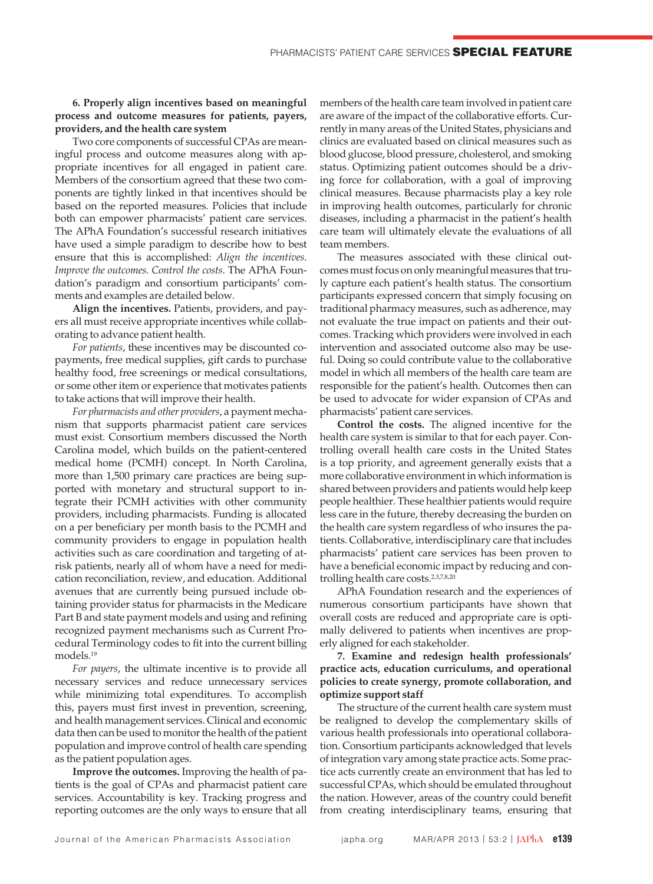#### **6. Properly align incentives based on meaningful process and outcome measures for patients, payers, providers, and the health care system**

Two core components of successful CPAs are meaningful process and outcome measures along with appropriate incentives for all engaged in patient care. Members of the consortium agreed that these two components are tightly linked in that incentives should be based on the reported measures. Policies that include both can empower pharmacists' patient care services. The APhA Foundation's successful research initiatives have used a simple paradigm to describe how to best ensure that this is accomplished: *Align the incentives. Improve the outcomes. Control the costs*. The APhA Foundation's paradigm and consortium participants' comments and examples are detailed below.

**Align the incentives.** Patients, providers, and payers all must receive appropriate incentives while collaborating to advance patient health.

*For patients*, these incentives may be discounted copayments, free medical supplies, gift cards to purchase healthy food, free screenings or medical consultations, or some other item or experience that motivates patients to take actions that will improve their health.

*For pharmacists and other providers*, a payment mechanism that supports pharmacist patient care services must exist. Consortium members discussed the North Carolina model, which builds on the patient-centered medical home (PCMH) concept. In North Carolina, more than 1,500 primary care practices are being supported with monetary and structural support to integrate their PCMH activities with other community providers, including pharmacists. Funding is allocated on a per beneficiary per month basis to the PCMH and community providers to engage in population health activities such as care coordination and targeting of atrisk patients, nearly all of whom have a need for medication reconciliation, review, and education. Additional avenues that are currently being pursued include obtaining provider status for pharmacists in the Medicare Part B and state payment models and using and refining recognized payment mechanisms such as Current Procedural Terminology codes to fit into the current billing models.19

*For payers*, the ultimate incentive is to provide all necessary services and reduce unnecessary services while minimizing total expenditures. To accomplish this, payers must first invest in prevention, screening, and health management services. Clinical and economic data then can be used to monitor the health of the patient population and improve control of health care spending as the patient population ages.

**Improve the outcomes.** Improving the health of patients is the goal of CPAs and pharmacist patient care services. Accountability is key. Tracking progress and reporting outcomes are the only ways to ensure that all

members of the health care team involved in patient care are aware of the impact of the collaborative efforts. Currently in many areas of the United States, physicians and clinics are evaluated based on clinical measures such as blood glucose, blood pressure, cholesterol, and smoking status. Optimizing patient outcomes should be a driving force for collaboration, with a goal of improving clinical measures. Because pharmacists play a key role in improving health outcomes, particularly for chronic diseases, including a pharmacist in the patient's health care team will ultimately elevate the evaluations of all team members.

The measures associated with these clinical outcomes must focus on only meaningful measures that truly capture each patient's health status. The consortium participants expressed concern that simply focusing on traditional pharmacy measures, such as adherence, may not evaluate the true impact on patients and their outcomes. Tracking which providers were involved in each intervention and associated outcome also may be useful. Doing so could contribute value to the collaborative model in which all members of the health care team are responsible for the patient's health. Outcomes then can be used to advocate for wider expansion of CPAs and pharmacists' patient care services.

**Control the costs.** The aligned incentive for the health care system is similar to that for each payer. Controlling overall health care costs in the United States is a top priority, and agreement generally exists that a more collaborative environment in which information is shared between providers and patients would help keep people healthier. These healthier patients would require less care in the future, thereby decreasing the burden on the health care system regardless of who insures the patients. Collaborative, interdisciplinary care that includes pharmacists' patient care services has been proven to have a beneficial economic impact by reducing and controlling health care costs.<sup>2,3,7,8,20</sup>

APhA Foundation research and the experiences of numerous consortium participants have shown that overall costs are reduced and appropriate care is optimally delivered to patients when incentives are properly aligned for each stakeholder.

#### **7. Examine and redesign health professionals' practice acts, education curriculums, and operational policies to create synergy, promote collaboration, and optimize support staff**

The structure of the current health care system must be realigned to develop the complementary skills of various health professionals into operational collaboration. Consortium participants acknowledged that levels of integration vary among state practice acts. Some practice acts currently create an environment that has led to successful CPAs, which should be emulated throughout the nation. However, areas of the country could benefit from creating interdisciplinary teams, ensuring that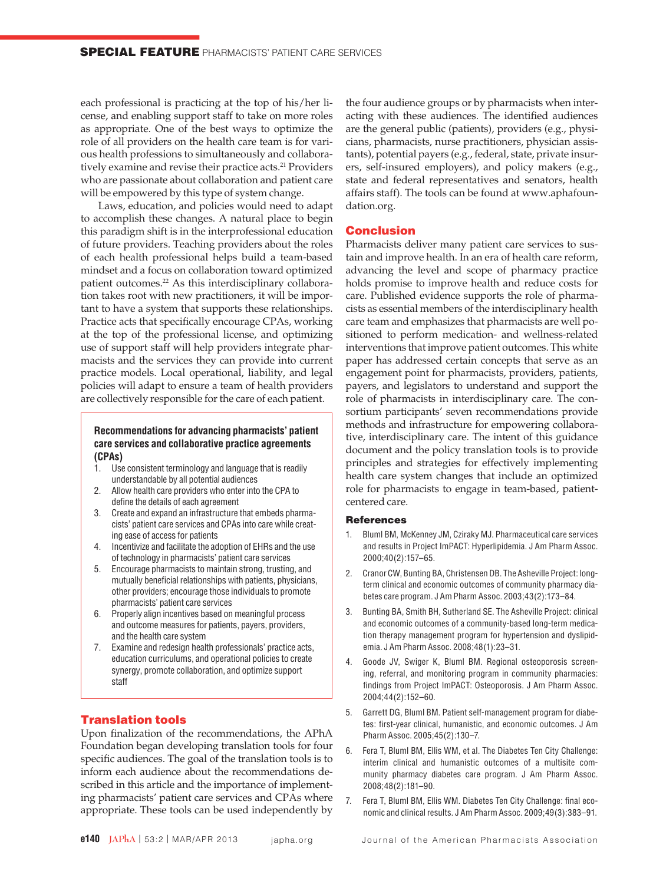each professional is practicing at the top of his/her license, and enabling support staff to take on more roles as appropriate. One of the best ways to optimize the role of all providers on the health care team is for various health professions to simultaneously and collaboratively examine and revise their practice acts.<sup>21</sup> Providers who are passionate about collaboration and patient care will be empowered by this type of system change.

Laws, education, and policies would need to adapt to accomplish these changes. A natural place to begin this paradigm shift is in the interprofessional education of future providers. Teaching providers about the roles of each health professional helps build a team-based mindset and a focus on collaboration toward optimized patient outcomes.<sup>22</sup> As this interdisciplinary collaboration takes root with new practitioners, it will be important to have a system that supports these relationships. Practice acts that specifically encourage CPAs, working at the top of the professional license, and optimizing use of support staff will help providers integrate pharmacists and the services they can provide into current practice models. Local operational, liability, and legal policies will adapt to ensure a team of health providers are collectively responsible for the care of each patient.

#### **Recommendations for advancing pharmacists' patient care services and collaborative practice agreements (CPAs)**

- 1. Use consistent terminology and language that is readily understandable by all potential audiences
- 2. Allow health care providers who enter into the CPA to define the details of each agreement
- 3. Create and expand an infrastructure that embeds pharmacists' patient care services and CPAs into care while creating ease of access for patients
- 4. Incentivize and facilitate the adoption of EHRs and the use of technology in pharmacists' patient care services
- 5. Encourage pharmacists to maintain strong, trusting, and mutually beneficial relationships with patients, physicians, other providers; encourage those individuals to promote pharmacists' patient care services
- 6. Properly align incentives based on meaningful process and outcome measures for patients, payers, providers, and the health care system
- 7. Examine and redesign health professionals' practice acts, education curriculums, and operational policies to create synergy, promote collaboration, and optimize support staff

# Translation tools

Upon finalization of the recommendations, the APhA Foundation began developing translation tools for four specific audiences. The goal of the translation tools is to inform each audience about the recommendations described in this article and the importance of implementing pharmacists' patient care services and CPAs where appropriate. These tools can be used independently by the four audience groups or by pharmacists when interacting with these audiences. The identified audiences are the general public (patients), providers (e.g., physicians, pharmacists, nurse practitioners, physician assistants), potential payers (e.g., federal, state, private insurers, self-insured employers), and policy makers (e.g., state and federal representatives and senators, health affairs staff). The tools can be found at www.aphafoundation.org.

### Conclusion

Pharmacists deliver many patient care services to sustain and improve health. In an era of health care reform, advancing the level and scope of pharmacy practice holds promise to improve health and reduce costs for care. Published evidence supports the role of pharmacists as essential members of the interdisciplinary health care team and emphasizes that pharmacists are well positioned to perform medication- and wellness-related interventions that improve patient outcomes. This white paper has addressed certain concepts that serve as an engagement point for pharmacists, providers, patients, payers, and legislators to understand and support the role of pharmacists in interdisciplinary care. The consortium participants' seven recommendations provide methods and infrastructure for empowering collaborative, interdisciplinary care. The intent of this guidance document and the policy translation tools is to provide principles and strategies for effectively implementing health care system changes that include an optimized role for pharmacists to engage in team-based, patientcentered care.

#### **References**

- 1. Bluml BM, McKenney JM, Cziraky MJ. Pharmaceutical care services and results in Project ImPACT: Hyperlipidemia. J Am Pharm Assoc. 2000;40(2):157–65.
- 2. Cranor CW, Bunting BA, Christensen DB. The Asheville Project: longterm clinical and economic outcomes of community pharmacy diabetes care program. J Am Pharm Assoc. 2003;43(2):173–84.
- 3. Bunting BA, Smith BH, Sutherland SE. The Asheville Project: clinical and economic outcomes of a community-based long-term medication therapy management program for hypertension and dyslipidemia. J Am Pharm Assoc. 2008;48(1):23–31.
- 4. Goode JV, Swiger K, Bluml BM. Regional osteoporosis screening, referral, and monitoring program in community pharmacies: findings from Project ImPACT: Osteoporosis. J Am Pharm Assoc. 2004;44(2):152–60.
- 5. Garrett DG, Bluml BM. Patient self-management program for diabetes: first-year clinical, humanistic, and economic outcomes. J Am Pharm Assoc. 2005;45(2):130–7.
- 6. Fera T, Bluml BM, Ellis WM, et al. The Diabetes Ten City Challenge: interim clinical and humanistic outcomes of a multisite community pharmacy diabetes care program. J Am Pharm Assoc. 2008;48(2):181–90.
- 7. Fera T, Bluml BM, Ellis WM. Diabetes Ten City Challenge: final economic and clinical results. J Am Pharm Assoc. 2009;49(3):383–91.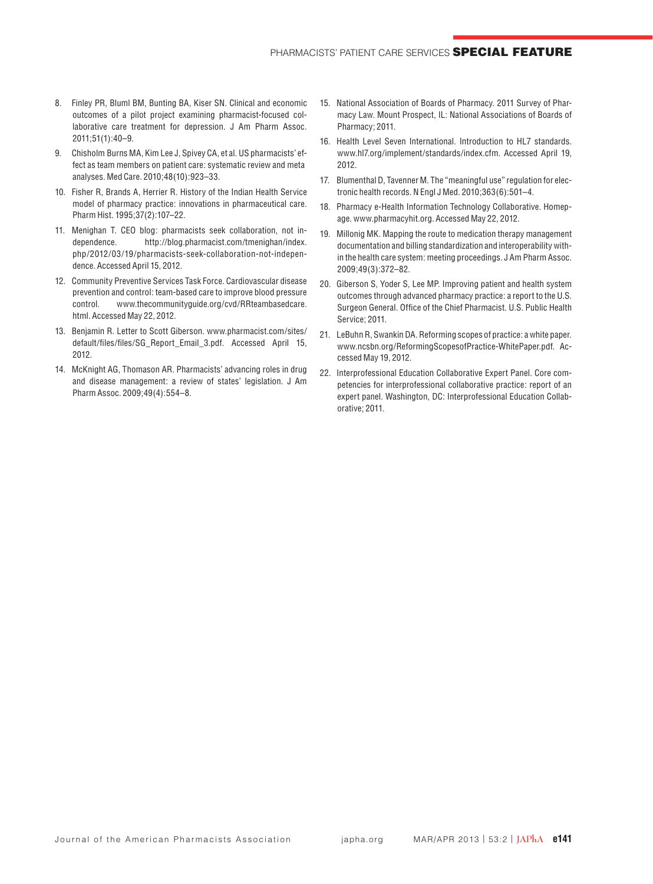- 8. Finley PR, Bluml BM, Bunting BA, Kiser SN. Clinical and economic outcomes of a pilot project examining pharmacist-focused collaborative care treatment for depression. J Am Pharm Assoc. 2011;51(1):40–9.
- 9. Chisholm Burns MA, Kim Lee J, Spivey CA, et al. US pharmacists' effect as team members on patient care: systematic review and meta analyses. Med Care. 2010;48(10):923–33.
- 10. Fisher R, Brands A, Herrier R. History of the Indian Health Service model of pharmacy practice: innovations in pharmaceutical care. Pharm Hist. 1995;37(2):107–22.
- 11. Menighan T. CEO blog: pharmacists seek collaboration, not independence. http://blog.pharmacist.com/tmenighan/index. php/2012/03/19/pharmacists-seek-collaboration-not-independence. Accessed April 15, 2012.
- 12. Community Preventive Services Task Force. Cardiovascular disease prevention and control: team-based care to improve blood pressure control. www.thecommunityguide.org/cvd/RRteambasedcare. html. Accessed May 22, 2012.
- 13. Benjamin R. Letter to Scott Giberson. www.pharmacist.com/sites/ default/files/files/SG\_Report\_Email\_3.pdf. Accessed April 15, 2012.
- 14. McKnight AG, Thomason AR. Pharmacists' advancing roles in drug and disease management: a review of states' legislation. J Am Pharm Assoc. 2009;49(4):554–8.
- 15. National Association of Boards of Pharmacy. 2011 Survey of Pharmacy Law. Mount Prospect, IL: National Associations of Boards of Pharmacy; 2011.
- 16. Health Level Seven International. Introduction to HL7 standards. www.hl7.org/implement/standards/index.cfm. Accessed April 19, 2012.
- 17. Blumenthal D, Tavenner M. The "meaningful use" regulation for electronic health records. N Engl J Med. 2010;363(6):501–4.
- 18. Pharmacy e-Health Information Technology Collaborative. Homepage. www.pharmacyhit.org. Accessed May 22, 2012.
- 19. Millonig MK. Mapping the route to medication therapy management documentation and billing standardization and interoperability within the health care system: meeting proceedings. J Am Pharm Assoc. 2009;49(3):372–82.
- 20. Giberson S, Yoder S, Lee MP. Improving patient and health system outcomes through advanced pharmacy practice: a report to the U.S. Surgeon General. Office of the Chief Pharmacist. U.S. Public Health Service; 2011.
- 21. LeBuhn R, Swankin DA. Reforming scopes of practice: a white paper. www.ncsbn.org/ReformingScopesofPractice-WhitePaper.pdf. Accessed May 19, 2012.
- 22. Interprofessional Education Collaborative Expert Panel. Core competencies for interprofessional collaborative practice: report of an expert panel. Washington, DC: Interprofessional Education Collaborative; 2011.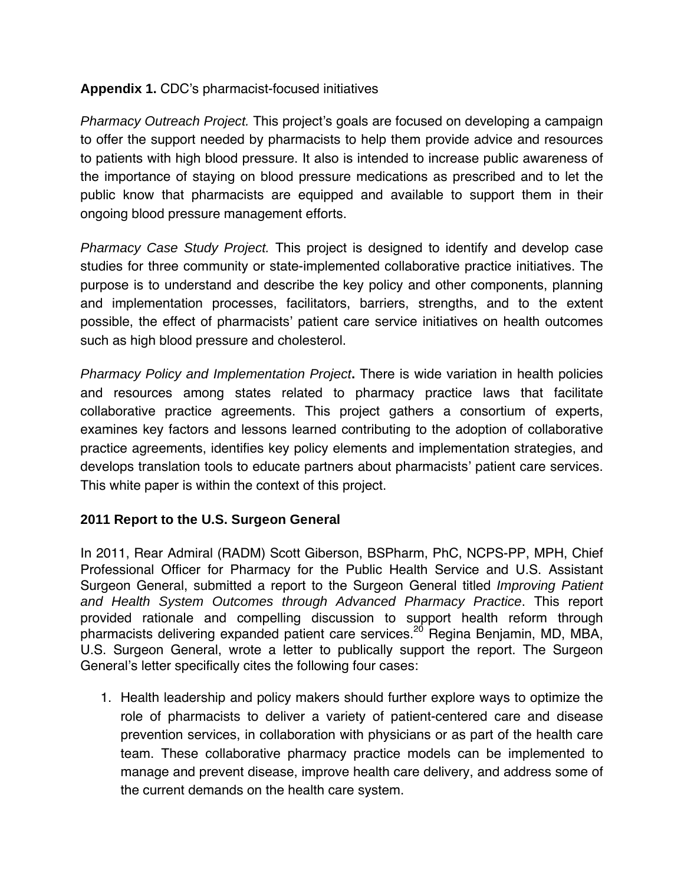# **Appendix 1.** CDC's pharmacist-focused initiatives

*Pharmacy Outreach Project.* This project's goals are focused on developing a campaign to offer the support needed by pharmacists to help them provide advice and resources to patients with high blood pressure. It also is intended to increase public awareness of the importance of staying on blood pressure medications as prescribed and to let the public know that pharmacists are equipped and available to support them in their ongoing blood pressure management efforts.

*Pharmacy Case Study Project.* This project is designed to identify and develop case studies for three community or state-implemented collaborative practice initiatives. The purpose is to understand and describe the key policy and other components, planning and implementation processes, facilitators, barriers, strengths, and to the extent possible, the effect of pharmacists' patient care service initiatives on health outcomes such as high blood pressure and cholesterol.

*Pharmacy Policy and Implementation Project***.** There is wide variation in health policies and resources among states related to pharmacy practice laws that facilitate collaborative practice agreements. This project gathers a consortium of experts, examines key factors and lessons learned contributing to the adoption of collaborative practice agreements, identifies key policy elements and implementation strategies, and develops translation tools to educate partners about pharmacists' patient care services. This white paper is within the context of this project.

# **2011 Report to the U.S. Surgeon General**

In 2011, Rear Admiral (RADM) Scott Giberson, BSPharm, PhC, NCPS-PP, MPH, Chief Professional Officer for Pharmacy for the Public Health Service and U.S. Assistant Surgeon General, submitted a report to the Surgeon General titled *Improving Patient and Health System Outcomes through Advanced Pharmacy Practice*. This report provided rationale and compelling discussion to support health reform through pharmacists delivering expanded patient care services.<sup>20</sup> Regina Benjamin, MD, MBA, U.S. Surgeon General, wrote a letter to publically support the report. The Surgeon General's letter specifically cites the following four cases:

1. Health leadership and policy makers should further explore ways to optimize the role of pharmacists to deliver a variety of patient-centered care and disease prevention services, in collaboration with physicians or as part of the health care team. These collaborative pharmacy practice models can be implemented to manage and prevent disease, improve health care delivery, and address some of the current demands on the health care system.